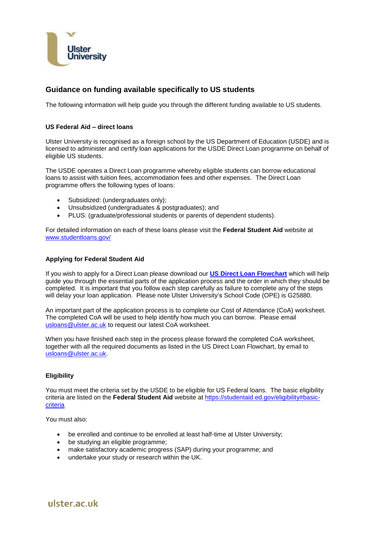

# **Guidance on funding available specifically to US students**

The following information will help guide you through the different funding available to US students.

# **US Federal Aid – direct loans**

Ulster University is recognised as a foreign school by the US Department of Education (USDE) and is licensed to administer and certify loan applications for the USDE Direct Loan programme on behalf of eligible US students.

The USDE operates a Direct Loan programme whereby eligible students can borrow educational loans to assist with tuition fees, accommodation fees and other expenses. The Direct Loan programme offers the following types of loans:

- Subsidized: (undergraduates only);
- Unsubsidized (undergraduates & postgraduates); and
- PLUS: (graduate/professional students or parents of dependent students).

For detailed information on each of these loans please visit the **Federal Student Aid** website at [www.studentloans.gov/](http://www.studentloans.gov/)

# **Applying for Federal Student Aid**

If you wish to apply for a Direct Loan please download our **[US Direct Loan](http://www.ulster.ac.uk/__data/assets/pdf_file/0020/59411/US-Direct-Loan-Flowchart.pdf) Flowchart** which will help guide you through the essential parts of the application process and the order in which they should be completed. It is important that you follow each step carefully as failure to complete any of the steps will delay your loan application. Please note Ulster University's School Code (OPE) is G25880.

An important part of the application process is to complete our Cost of Attendance (CoA) worksheet. The completed CoA will be used to help identify how much you can borrow. Please email [usloans@ulster.ac.uk](mailto:usloans@ulster.ac.uk) to request our latest CoA worksheet.

When you have finished each step in the process please forward the completed CoA worksheet, together with all the required documents as listed in the US Direct Loan Flowchart, by email to [usloans@ulster.ac.uk.](mailto:usloans@ulster.ac.uk)

# **Eligibility**

You must meet the criteria set by the USDE to be eligible for US Federal loans. The basic eligibility criteria are listed on the **Federal Student Aid** website at [https://studentaid.ed.gov/eligibility#basic](https://studentaid.ed.gov/eligibility#basic-criteria)[criteria](https://studentaid.ed.gov/eligibility#basic-criteria)

You must also:

- be enrolled and continue to be enrolled at least half-time at Ulster University;
- be studying an eligible programme;
- make satisfactory academic progress (SAP) during your programme; and
- undertake your study or research within the UK.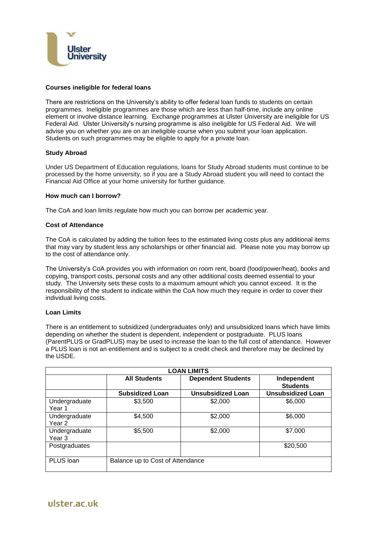

# **Courses ineligible for federal loans**

There are restrictions on the University's ability to offer federal loan funds to students on certain programmes. Ineligible programmes are those which are less than half-time, include any online element or involve distance learning. Exchange programmes at Ulster University are ineligible for US Federal Aid. Ulster University's nursing programme is also ineligible for US Federal Aid. We will advise you on whether you are on an ineligible course when you submit your loan application. Students on such programmes may be eligible to apply for a private loan.

### **Study Abroad**

Under US Department of Education regulations, loans for Study Abroad students must continue to be processed by the home university, so if you are a Study Abroad student you will need to contact the Financial Aid Office at your home university for further guidance.

# **How much can I borrow?**

The CoA and loan limits regulate how much you can borrow per academic year.

# **Cost of Attendance**

The CoA is calculated by adding the tuition fees to the estimated living costs plus any additional items that may vary by student less any scholarships or other financial aid. Please note you may borrow up to the cost of attendance only.

The University's CoA provides you with information on room rent, board (food/power/heat), books and copying, transport costs, personal costs and any other additional costs deemed essential to your study. The University sets these costs to a maximum amount which you cannot exceed. It is the responsibility of the student to indicate within the CoA how much they require in order to cover their individual living costs.

### **Loan Limits**

There is an entitlement to subsidized (undergraduates only) and unsubsidized loans which have limits depending on whether the student is dependent, independent or postgraduate. PLUS loans (ParentPLUS or GradPLUS) may be used to increase the loan to the full cost of attendance. However a PLUS loan is not an entitlement and is subject to a credit check and therefore may be declined by the USDE.

| <b>LOAN LIMITS</b>      |                                  |                           |                                |
|-------------------------|----------------------------------|---------------------------|--------------------------------|
|                         | <b>All Students</b>              | <b>Dependent Students</b> | Independent<br><b>Students</b> |
|                         | <b>Subsidized Loan</b>           | <b>Unsubsidized Loan</b>  | <b>Unsubsidized Loan</b>       |
| Undergraduate<br>Year 1 | \$3,500                          | \$2,000                   | \$6,000                        |
| Undergraduate<br>Year 2 | \$4,500                          | \$2,000                   | \$6,000                        |
| Undergraduate<br>Year 3 | \$5,500                          | \$2,000                   | \$7,000                        |
| Postgraduates           |                                  |                           | \$20,500                       |
| PLUS Ioan               | Balance up to Cost of Attendance |                           |                                |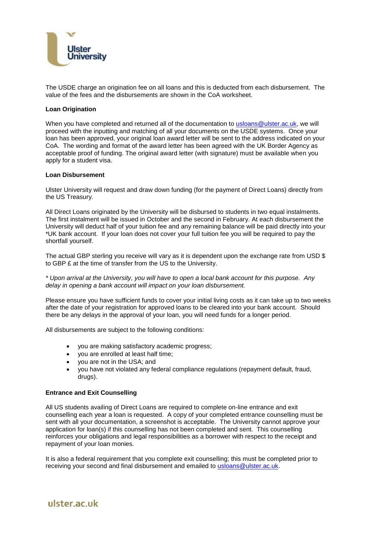

The USDE charge an origination fee on all loans and this is deducted from each disbursement. The value of the fees and the disbursements are shown in the CoA worksheet.

# **Loan Origination**

When you have completed and returned all of the documentation to [usloans@ulster.ac.uk,](mailto:usloans@ulster.ac.uk) we will proceed with the inputting and matching of all your documents on the USDE systems. Once your loan has been approved, your original loan award letter will be sent to the address indicated on your CoA. The wording and format of the award letter has been agreed with the UK Border Agency as acceptable proof of funding. The original award letter (with signature) must be available when you apply for a student visa.

### **Loan Disbursement**

Ulster University will request and draw down funding (for the payment of Direct Loans) directly from the US Treasury.

All Direct Loans originated by the University will be disbursed to students in two equal instalments. The first instalment will be issued in October and the second in February. At each disbursement the University will deduct half of your tuition fee and any remaining balance will be paid directly into your \*UK bank account. If your loan does not cover your full tuition fee you will be required to pay the shortfall yourself.

The actual GBP sterling you receive will vary as it is dependent upon the exchange rate from USD \$ to GBP £ at the time of transfer from the US to the University.

# *\* Upon arrival at the University, you will have to open a local bank account for this purpose. Any delay in opening a bank account will impact on your loan disbursement.*

Please ensure you have sufficient funds to cover your initial living costs as it can take up to two weeks after the date of your registration for approved loans to be cleared into your bank account. Should there be any delays in the approval of your loan, you will need funds for a longer period.

All disbursements are subject to the following conditions:

- you are making satisfactory academic progress;
- you are enrolled at least half time;
- you are not in the USA; and
- you have not violated any federal compliance regulations (repayment default, fraud, drugs).

# **Entrance and Exit Counselling**

All US students availing of Direct Loans are required to complete on-line entrance and exit counselling each year a loan is requested. A copy of your completed entrance counselling must be sent with all your documentation, a screenshot is acceptable. The University cannot approve your application for loan(s) if this counselling has not been completed and sent. This counselling reinforces your obligations and legal responsibilities as a borrower with respect to the receipt and repayment of your loan monies.

It is also a federal requirement that you complete exit counselling; this must be completed prior to receiving your second and final disbursement and emailed to [usloans@ulster.ac.uk.](mailto:usloans@ulster.ac.uk)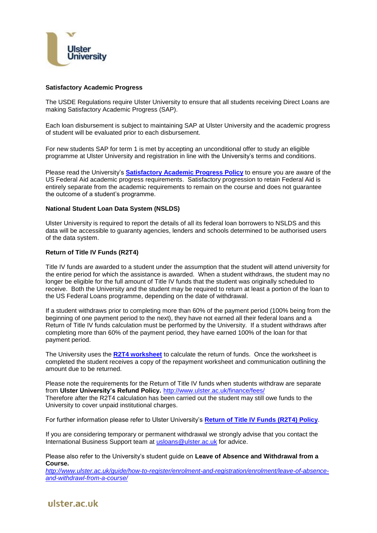

### **Satisfactory Academic Progress**

The USDE Regulations require Ulster University to ensure that all students receiving Direct Loans are making Satisfactory Academic Progress (SAP).

Each loan disbursement is subject to maintaining SAP at Ulster University and the academic progress of student will be evaluated prior to each disbursement.

For new students SAP for term 1 is met by accepting an unconditional offer to study an eligible programme at Ulster University and registration in line with the University's terms and conditions.

Please read the University's **[Satisfactory Academic Progress](http://www.ulster.ac.uk/__data/assets/pdf_file/0003/59412/SAP-Policy-2.pdf) Policy** to ensure you are aware of the US Federal Aid academic progress requirements. Satisfactory progression to retain Federal Aid is entirely separate from the academic requirements to remain on the course and does not guarantee the outcome of a student's programme.

# **National Student Loan Data System (NSLDS)**

Ulster University is required to report the details of all its federal loan borrowers to NSLDS and this data will be accessible to guaranty agencies, lenders and schools determined to be authorised users of the data system.

### **Return of Title IV Funds (R2T4)**

Title IV funds are awarded to a student under the assumption that the student will attend university for the entire period for which the assistance is awarded. When a student withdraws, the student may no longer be eligible for the full amount of Title IV funds that the student was originally scheduled to receive. Both the University and the student may be required to return at least a portion of the loan to the US Federal Loans programme, depending on the date of withdrawal.

If a student withdraws prior to completing more than 60% of the payment period (100% being from the beginning of one payment period to the next), they have not earned all their federal loans and a Return of Title IV funds calculation must be performed by the University. If a student withdraws after completing more than 60% of the payment period, they have earned 100% of the loan for that payment period.

The University uses the **[R2T4 worksheet](http://www.ulster.ac.uk/__data/assets/pdf_file/0004/59413/R2T4-worksheet.pdf)** to calculate the return of funds. Once the worksheet is completed the student receives a copy of the repayment worksheet and communication outlining the amount due to be returned.

Please note the requirements for the Return of Title IV funds when students withdraw are separate from **Ulster University's Refund Policy.** <http://www.ulster.ac.uk/finance/fees/> Therefore after the R2T4 calculation has been carried out the student may still owe funds to the University to cover unpaid institutional charges.

For further information please refer to Ulster University's **[Return of Title IV Funds \(R2T4\) Policy](http://www.ulster.ac.uk/__data/assets/pdf_file/0016/61162/Return-of-Title-IV-Funds-Policy.pdf)**.

If you are considering temporary or permanent withdrawal we strongly advise that you contact the International Business Support team at [usloans@ulster.ac.uk](mailto:usloans@ulster.ac.uk) for advice.

Please also refer to the University's student guide on **Leave of Absence and Withdrawal from a Course.** 

*[http://www.ulster.ac.uk/guide/how-to-register/enrolment-and-registration/enrolment/leave-of-absence](http://www.ulster.ac.uk/guide/how-to-register/enrolment-and-registration/enrolment/leave-of-absence-and-withdrawl-from-a-course/)[and-withdrawl-from-a-course/](http://www.ulster.ac.uk/guide/how-to-register/enrolment-and-registration/enrolment/leave-of-absence-and-withdrawl-from-a-course/)*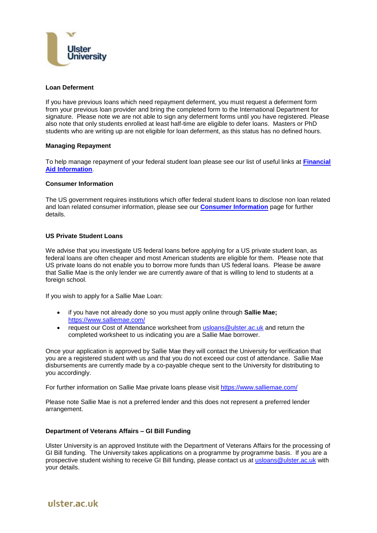

### **Loan Deferment**

If you have previous loans which need repayment deferment, you must request a deferment form from your previous loan provider and bring the completed form to the International Department for signature. Please note we are not able to sign any deferment forms until you have registered. Please also note that only students enrolled at least half-time are eligible to defer loans. Masters or PhD students who are writing up are not eligible for loan deferment, as this status has no defined hours.

### **Managing Repayment**

To help manage repayment of your federal student loan please see our list of useful links at **[Financial](http://www.ulster.ac.uk/international/pdf/2015/Financial-Aid-Information.pdf)  [Aid Information](http://www.ulster.ac.uk/international/pdf/2015/Financial-Aid-Information.pdf)**.

### **Consumer Information**

The US government requires institutions which offer federal student loans to disclose non loan related and loan related consumer information, please see our **[Consumer Information](https://www.ulster.ac.uk/__data/assets/pdf_file/0016/61171/CONSUMER-INFORMATION2.pdf)** page for further details.

# **US Private Student Loans**

We advise that you investigate US federal loans before applying for a US private student loan, as federal loans are often cheaper and most American students are eligible for them. Please note that US private loans do not enable you to borrow more funds than US federal loans. Please be aware that Sallie Mae is the only lender we are currently aware of that is willing to lend to students at a foreign school.

If you wish to apply for a Sallie Mae Loan:

- if you have not already done so you must apply online through **Sallie Mae;** <https://www.salliemae.com/>
- request our Cost of Attendance worksheet from **usloans@ulster.ac.uk** and return the completed worksheet to us indicating you are a Sallie Mae borrower.

Once your application is approved by Sallie Mae they will contact the University for verification that you are a registered student with us and that you do not exceed our cost of attendance. Sallie Mae disbursements are currently made by a co-payable cheque sent to the University for distributing to you accordingly.

For further information on Sallie Mae private loans please visit<https://www.salliemae.com/>

Please note Sallie Mae is not a preferred lender and this does not represent a preferred lender arrangement.

### **Department of Veterans Affairs – GI Bill Funding**

Ulster University is an approved Institute with the Department of Veterans Affairs for the processing of GI Bill funding. The University takes applications on a programme by programme basis. If you are a prospective student wishing to receive GI Bill funding, please contact us at [usloans@ulster.ac.uk](mailto:usloans@ulster.ac.uk) with your details.